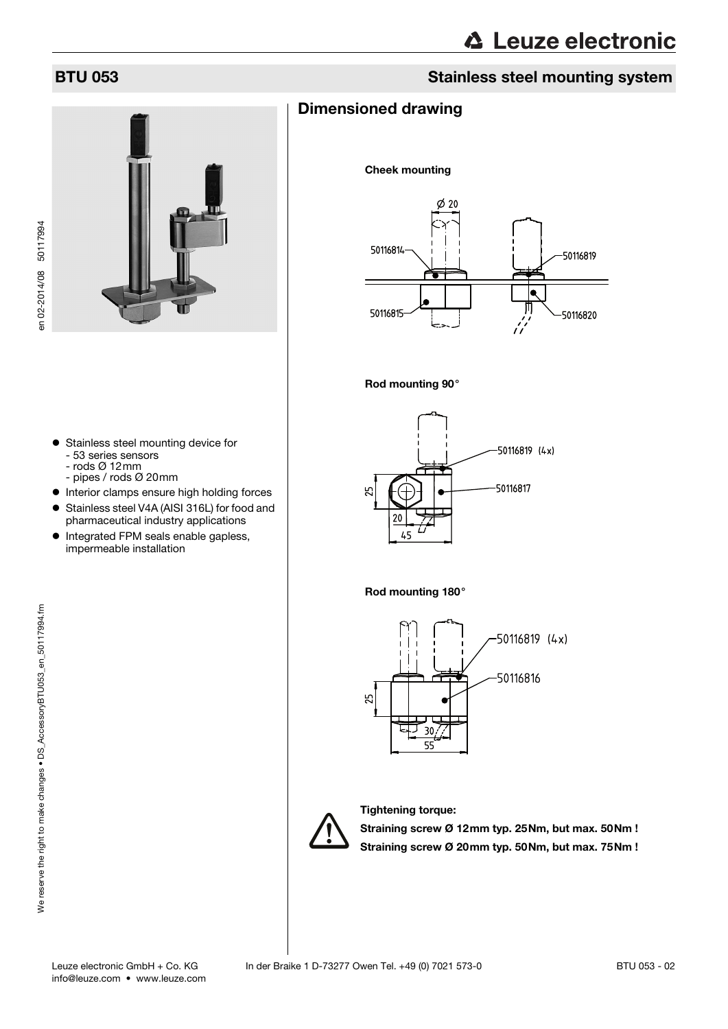# BTU 053 Stainless steel mounting system



### Dimensioned drawing

Cheek mounting







#### Rod mounting 180°





Tightening torque:

Straining screw Ø 12mm typ. 25Nm, but max. 50Nm ! Straining screw Ø 20mm typ. 50Nm, but max. 75Nm !

- **•** Stainless steel mounting device for - 53 series sensors
	- rods Ø 12mm
	- pipes / rods Ø 20mm
- $\bullet$  Interior clamps ensure high holding forces
- Stainless steel V4A (AISI 316L) for food and pharmaceutical industry applications
- Integrated FPM seals enable gapless, impermeable installation